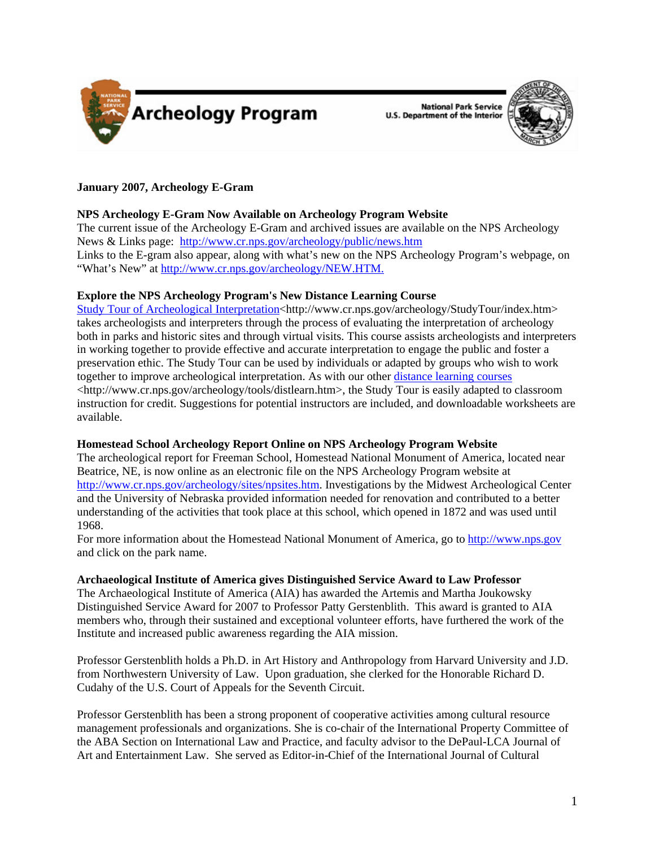



# **January 2007, Archeology E-Gram**

# **NPS Archeology E-Gram Now Available on Archeology Program Website**

The current issue of the Archeology E-Gram and archived issues are available on the NPS Archeology News & Links page: http://www.cr.nps.gov/archeology/public/news.htm Links to the E-gram also appear, along with what's new on the NPS Archeology Program's webpage, on "What's New" at<http://www.cr.nps.gov/archeology/NEW.HTM>.

# **Explore the NPS Archeology Program's New Distance Learning Course**

Study Tour of Archeological Interpretation<http://www.cr.nps.gov/archeology/StudyTour/index.htm> takes archeologists and interpreters through the process of evaluating the interpretation of archeology both in parks and historic sites and through virtual visits. This course assists archeologists and interpreters in working together to provide effective and accurate interpretation to engage the public and foster a preservation ethic. The Study Tour can be used by individuals or adapted by groups who wish to work together to improve archeological interpretation. As with our other distance learning courses <http://www.cr.nps.gov/archeology/tools/distlearn.htm>, the Study Tour is easily adapted to classroom instruction for credit. Suggestions for potential instructors are included, and downloadable worksheets are available.

# **Homestead School Archeology Report Online on NPS Archeology Program Website**

The archeological report for Freeman School, Homestead National Monument of America, located near Beatrice, NE, is now online as an electronic file on the NPS Archeology Program website at [http://www.cr.nps.gov/archeology/sites/npsites.htm.](http://www.cr.nps.gov/archeology/sites/npsites.htm) Investigations by the Midwest Archeological Center and the University of Nebraska provided information needed for renovation and contributed to a better understanding of the activities that took place at this school, which opened in 1872 and was used until 1968.

For more information about the Homestead National Monument of America, go to [http://www.nps.gov](http://www.nps.gov/) and click on the park name.

# **Archaeological Institute of America gives Distinguished Service Award to Law Professor**

The Archaeological Institute of America (AIA) has awarded the Artemis and Martha Joukowsky Distinguished Service Award for 2007 to Professor Patty Gerstenblith. This award is granted to AIA members who, through their sustained and exceptional volunteer efforts, have furthered the work of the Institute and increased public awareness regarding the AIA mission.

Professor Gerstenblith holds a Ph.D. in Art History and Anthropology from Harvard University and J.D. from Northwestern University of Law. Upon graduation, she clerked for the Honorable Richard D. Cudahy of the U.S. Court of Appeals for the Seventh Circuit.

Professor Gerstenblith has been a strong proponent of cooperative activities among cultural resource management professionals and organizations. She is co-chair of the International Property Committee of the ABA Section on International Law and Practice, and faculty advisor to the DePaul-LCA Journal of Art and Entertainment Law. She served as Editor-in-Chief of the International Journal of Cultural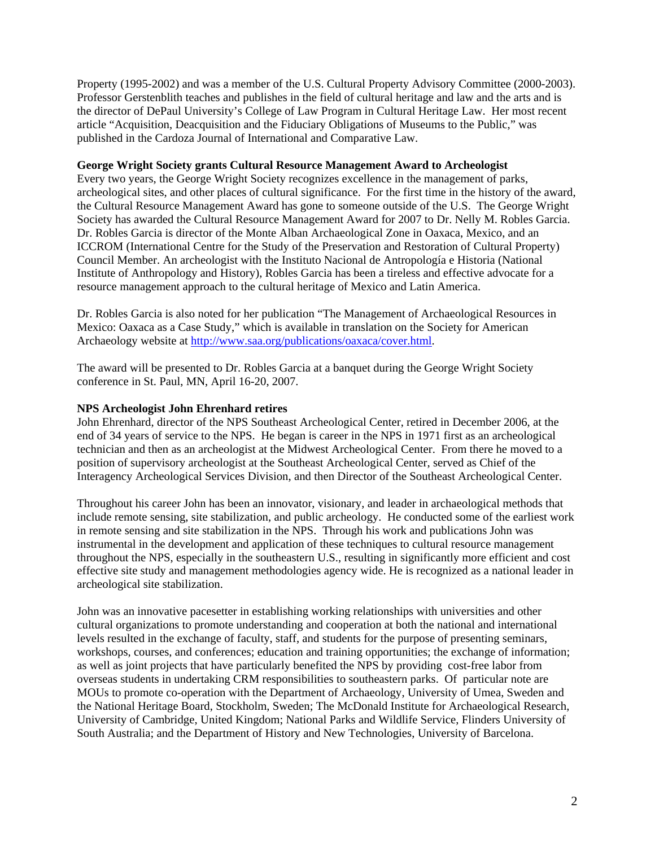Property (1995-2002) and was a member of the U.S. Cultural Property Advisory Committee (2000-2003). Professor Gerstenblith teaches and publishes in the field of cultural heritage and law and the arts and is the director of DePaul University's College of Law Program in Cultural Heritage Law. Her most recent article "Acquisition, Deacquisition and the Fiduciary Obligations of Museums to the Public," was published in the Cardoza Journal of International and Comparative Law.

### **George Wright Society grants Cultural Resource Management Award to Archeologist**

Every two years, the George Wright Society recognizes excellence in the management of parks, archeological sites, and other places of cultural significance. For the first time in the history of the award, the Cultural Resource Management Award has gone to someone outside of the U.S. The George Wright Society has awarded the Cultural Resource Management Award for 2007 to Dr. Nelly M. Robles Garcia. Dr. Robles Garcia is director of the Monte Alban Archaeological Zone in Oaxaca, Mexico, and an ICCROM (International Centre for the Study of the Preservation and Restoration of Cultural Property) Council Member. An archeologist with the Instituto Nacional de Antropología e Historia (National Institute of Anthropology and History), Robles Garcia has been a tireless and effective advocate for a resource management approach to the cultural heritage of Mexico and Latin America.

Dr. Robles Garcia is also noted for her publication "The Management of Archaeological Resources in Mexico: Oaxaca as a Case Study," which is available in translation on the Society for American Archaeology website at [http://www.saa.org/publications/oaxaca/cover.html.](http://www.saa.org/publications/oaxaca/cover.html)

The award will be presented to Dr. Robles Garcia at a banquet during the George Wright Society conference in St. Paul, MN, April 16-20, 2007.

### **NPS Archeologist John Ehrenhard retires**

John Ehrenhard, director of the NPS Southeast Archeological Center, retired in December 2006, at the end of 34 years of service to the NPS. He began is career in the NPS in 1971 first as an archeological technician and then as an archeologist at the Midwest Archeological Center. From there he moved to a position of supervisory archeologist at the Southeast Archeological Center, served as Chief of the Interagency Archeological Services Division, and then Director of the Southeast Archeological Center.

Throughout his career John has been an innovator, visionary, and leader in archaeological methods that include remote sensing, site stabilization, and public archeology. He conducted some of the earliest work in remote sensing and site stabilization in the NPS. Through his work and publications John was instrumental in the development and application of these techniques to cultural resource management throughout the NPS, especially in the southeastern U.S., resulting in significantly more efficient and cost effective site study and management methodologies agency wide. He is recognized as a national leader in archeological site stabilization.

John was an innovative pacesetter in establishing working relationships with universities and other cultural organizations to promote understanding and cooperation at both the national and international levels resulted in the exchange of faculty, staff, and students for the purpose of presenting seminars, workshops, courses, and conferences; education and training opportunities; the exchange of information; as well as joint projects that have particularly benefited the NPS by providing cost-free labor from overseas students in undertaking CRM responsibilities to southeastern parks. Of particular note are MOUs to promote co-operation with the Department of Archaeology, University of Umea, Sweden and the National Heritage Board, Stockholm, Sweden; The McDonald Institute for Archaeological Research, University of Cambridge, United Kingdom; National Parks and Wildlife Service, Flinders University of South Australia; and the Department of History and New Technologies, University of Barcelona.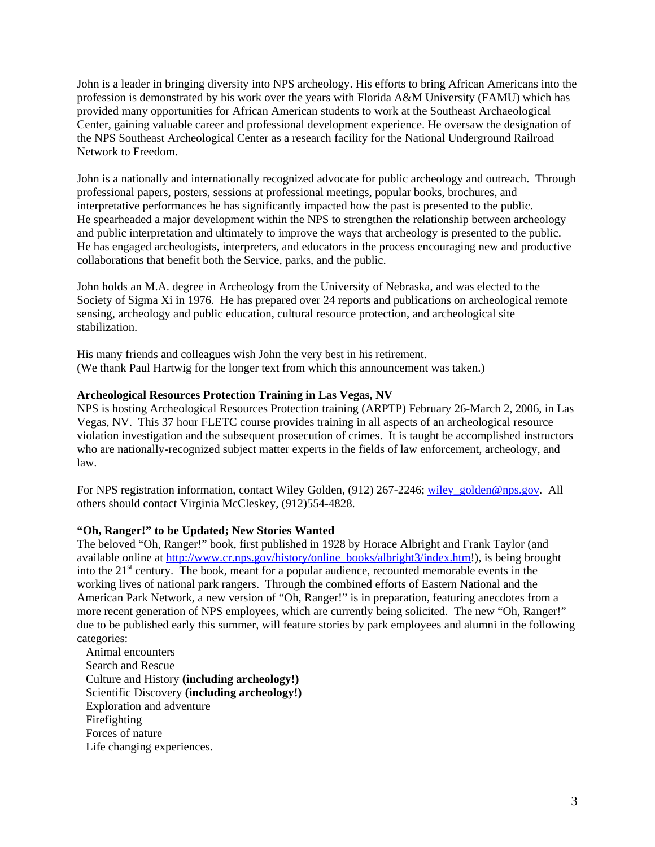John is a leader in bringing diversity into NPS archeology. His efforts to bring African Americans into the profession is demonstrated by his work over the years with Florida A&M University (FAMU) which has provided many opportunities for African American students to work at the Southeast Archaeological Center, gaining valuable career and professional development experience. He oversaw the designation of the NPS Southeast Archeological Center as a research facility for the National Underground Railroad Network to Freedom.

John is a nationally and internationally recognized advocate for public archeology and outreach. Through professional papers, posters, sessions at professional meetings, popular books, brochures, and interpretative performances he has significantly impacted how the past is presented to the public. He spearheaded a major development within the NPS to strengthen the relationship between archeology and public interpretation and ultimately to improve the ways that archeology is presented to the public. He has engaged archeologists, interpreters, and educators in the process encouraging new and productive collaborations that benefit both the Service, parks, and the public.

John holds an M.A. degree in Archeology from the University of Nebraska, and was elected to the Society of Sigma Xi in 1976. He has prepared over 24 reports and publications on archeological remote sensing, archeology and public education, cultural resource protection, and archeological site stabilization.

His many friends and colleagues wish John the very best in his retirement. (We thank Paul Hartwig for the longer text from which this announcement was taken.)

### **Archeological Resources Protection Training in Las Vegas, NV**

NPS is hosting Archeological Resources Protection training (ARPTP) February 26-March 2, 2006, in Las Vegas, NV. This 37 hour FLETC course provides training in all aspects of an archeological resource violation investigation and the subsequent prosecution of crimes. It is taught be accomplished instructors who are nationally-recognized subject matter experts in the fields of law enforcement, archeology, and law.

For NPS registration information, contact Wiley Golden, (912) 267-2246; wiley golden@nps.gov. All others should contact Virginia McCleskey, (912)554-4828.

### **"Oh, Ranger!" to be Updated; New Stories Wanted**

The beloved "Oh, Ranger!" book, first published in 1928 by Horace Albright and Frank Taylor (and available online at [http://www.cr.nps.gov/history/online\\_books/albright3/index.htm](http://www.cr.nps.gov/history/online_books/albright3/index.htm)!), is being brought into the 21<sup>st</sup> century. The book, meant for a popular audience, recounted memorable events in the working lives of national park rangers. Through the combined efforts of Eastern National and the American Park Network, a new version of "Oh, Ranger!" is in preparation, featuring anecdotes from a more recent generation of NPS employees, which are currently being solicited. The new "Oh, Ranger!" due to be published early this summer, will feature stories by park employees and alumni in the following categories:

 Animal encounters Search and Rescue Culture and History **(including archeology!)** Scientific Discovery **(including archeology!)** Exploration and adventure Firefighting Forces of nature Life changing experiences.